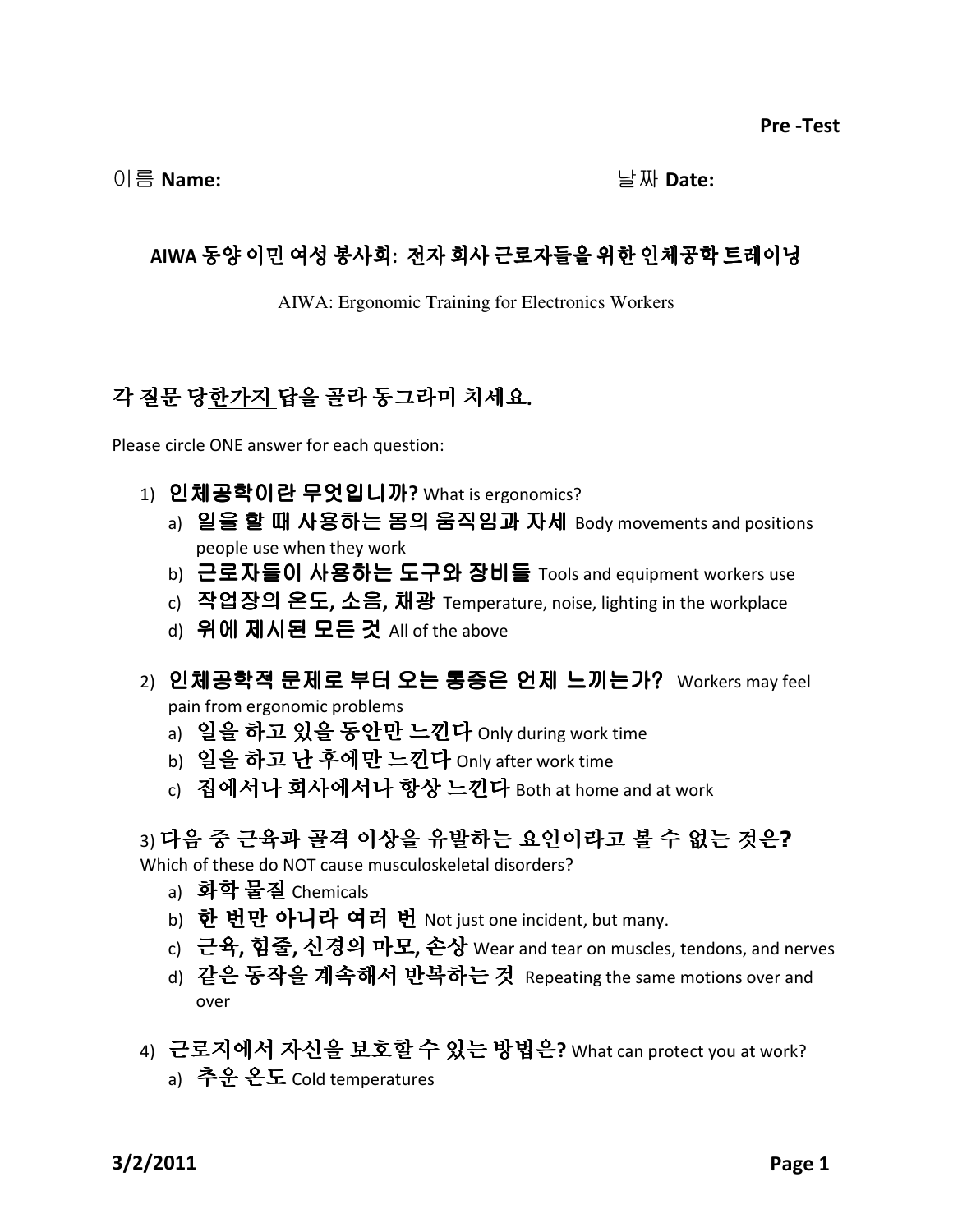이름 Name:  $\Box$  Name:

## AIWA 동양 이민 여성 봉사회: 전자 회사 근로자들을 위한 인체공학 트레이닝

AIWA: Ergonomic Training for Electronics Workers

## 각 질문 당한가지 답을 골라 동그라미 치세요.

Please circle ONE answer for each question:

- 1) 인체공학이란 무엇입니까? What is ergonomics?
	- a) 일을 할 때 사용하는 몸의 움직임과 자세 Body movements and positions people use when they work
	- b) 근로자들이 사용하는 도구와 장비들 Tools and equipment workers use
	- $c)$  작업장의 온도, 소음, 채광 Temperature, noise, lighting in the workplace
	- d) 위에 제시된 모든 것 All of the above
- 2) 인체공학적 문제로 부터 오는 통증은 언제 느끼는가? Workers may feel

pain from ergonomic problems

- a) 일을 하고 있을 동안만 느낀다 Only during work time
- b) 일을 하고 난 후에만 느낀다 Only after work time
- c) 집에서나 회사에서나 항상 느낀다 Both at home and at work

## 3) 다음 중 근육과 골격 이상을 유발하는 요인이라고 볼 수 없는 것은?

Which of these do NOT cause musculoskeletal disorders?

- a) 화학 물질 Chemicals
- b) 한 번만 아니라 여러 번 Not just one incident, but many.
- c) 근육, 힘줄, 신경의 마모, 손상 Wear and tear on muscles, tendons, and nerves
- d) 같은 동작을 계속해서 반복하는 것 Repeating the same motions over and over
- 4) 근로지에서 자신을 보호할 수 있는 방법은? What can protect you at work? a) 추운 온도 Cold temperatures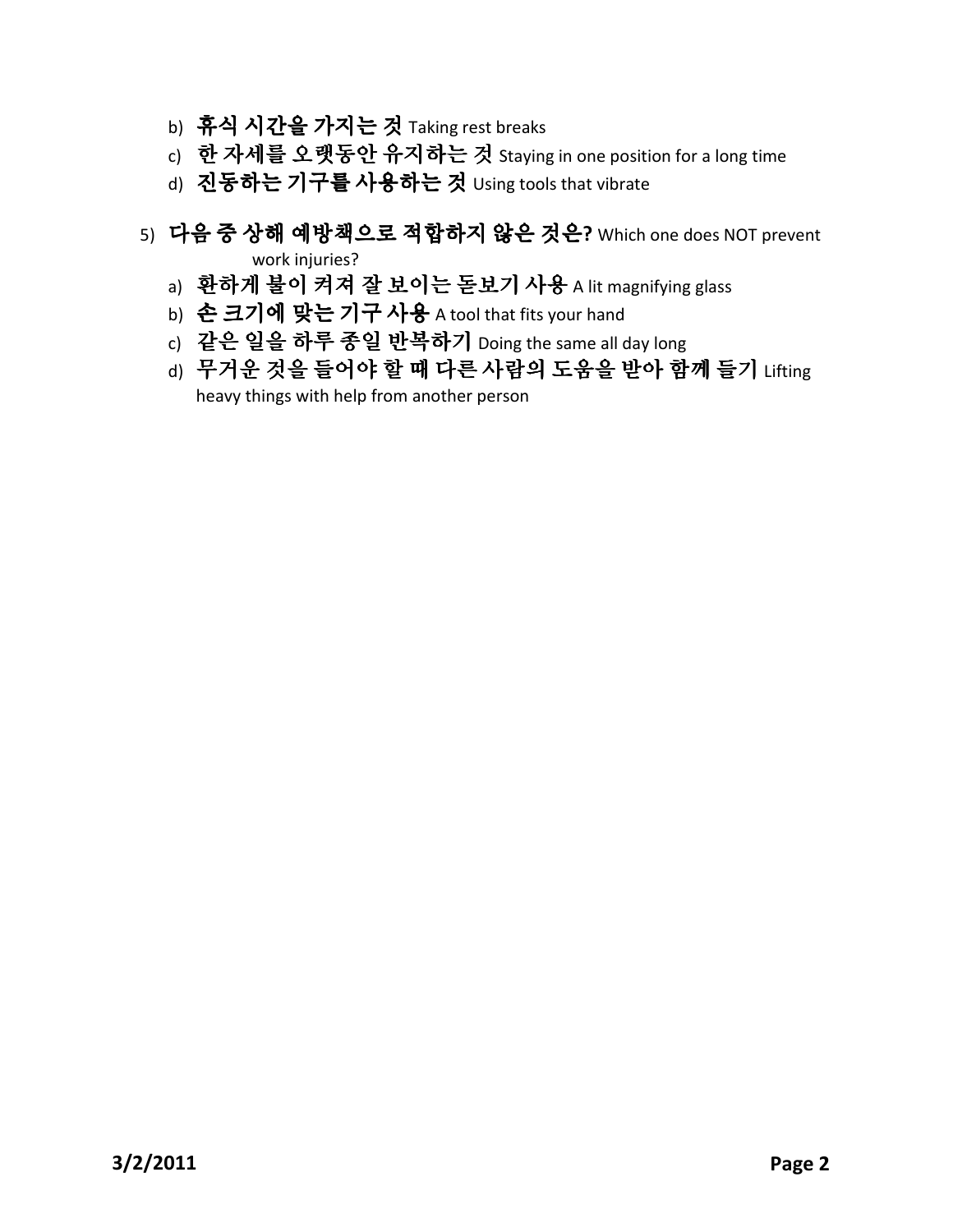- b) 휴식 시간을 가지는 것 Taking rest breaks
- c) 한 자세를 오랫동안 유지하는 것 Staying in one position for a long time
- d) 진동하는 기구를 사용하는 것 Using tools that vibrate
- 5) 다음 중 상해 예방책으로 적합하지 않은 것은? Which one does NOT prevent work injuries?
	- a) 환하게 불이 켜져 잘 보이는 돋보기 사용 A lit magnifying glass
	- b) 손 크기에 맞는 기구 사용 A tool that fits your hand
	- c) 같은 일을 하루 종일 반복하기 Doing the same all day long
	- d) 무거운 것을 들어야 할 때 다른 사람의 도움을 받아 함께 들기 Lifting heavy things with help from another person